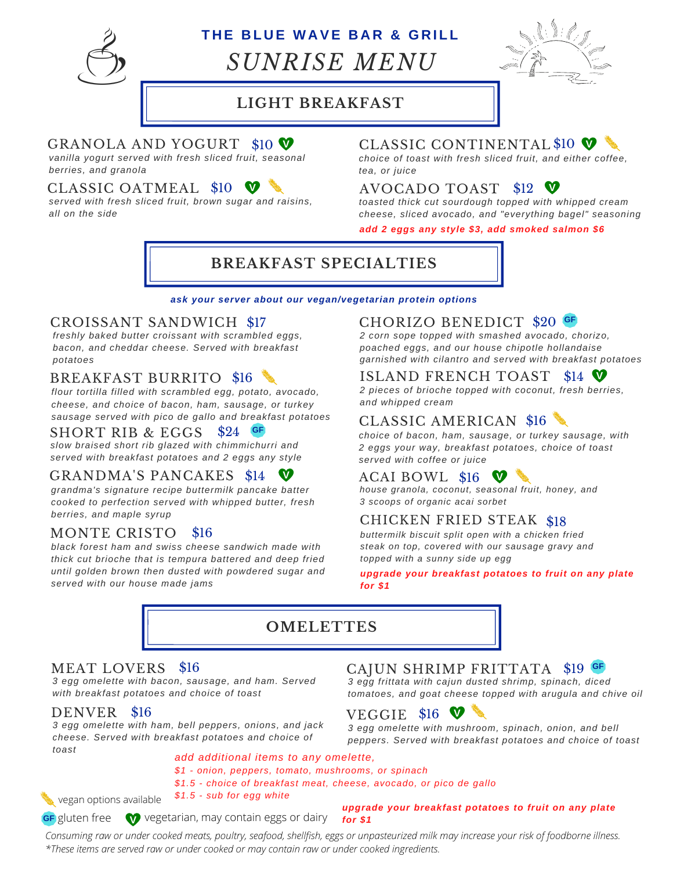

# **T H E B L U E W A VE B A R & G R I L L**

*SUNRISE MENU*



### **LIGHT BREAKFAST**

#### GRANOLA AND YOGURT \$10 **V** CLASSIC CONTINENTAL

*vanilla yogurt served with fresh sliced fruit, seasonal berries, and granola*

#### CLASSIC OATMEAL \$10

*served with fresh sliced fruit, brown sugar and raisins, all on the side*

### \$10 **V** CLASSIC CONTINENTAL \$10 **V**

*choice of toast with fresh sliced fruit, and either coffee, tea, or juice*

### AVOCADO TOAST \$12 **V**

*toasted thick cut sourdough topped with whipped cream cheese, sliced avocado, and "everything bagel" seasoning*

*add 2 eggs any style \$3, add smoked salmon \$6*

## **BREAKFAST SPECIALTIES**

#### *ask your server about our vegan/vegetarian protein options*

#### CROISSANT SANDWICH

*freshly baked butter croissant with scrambled eggs, bacon, and cheddar cheese. Served with breakfast potatoes*

#### BREAKFAST BURRITO \$16

*flour tortilla filled with scrambled egg, potato, avocado, cheese, and choice of bacon, ham, sausage, or turkey sausage served with pico de gallo and breakfast potatoes*

**GF**

#### SHORT RIB & EGGS \$24

*slow braised short rib glazed with chimmichurri and served with breakfast potatoes and 2 eggs any style*

#### GRANDMA'S PANCAKES \$14 **V**

*grandma's signature recipe buttermilk pancake batter cooked to perfection served with whipped butter, fresh berries, and maple syrup*

#### MONTE CRISTO \$16

*black forest ham and swiss cheese sandwich made with thick cut brioche that is tempura battered and deep fried until golden brown then dusted with powdered sugar and served with our house made jams*

#### \$17 **CHORIZO BENEDICT** \$20 **GF**

*2 corn sope topped with smashed avocado, chorizo, poached eggs, and our house chipotle hollandaise garnished with cilantro and served with breakfast potatoes*

#### ISLAND FRENCH TOAST \$14 **V**

*2 pieces of brioche topped with coconut, fresh berries, and whipped cream*

#### CLASSIC AMERICAN \$16

*choice of bacon, ham, sausage, or turkey sausage, with 2 eggs your way, breakfast potatoes, choice of toast served with coffee or juice*

#### ACAI BOWL \$16  $\blacktriangledown$

*house granola, coconut, seasonal fruit, honey, and 3 scoops of organic acai sorbet*

#### CHICKEN FRIED STEAK \$18

*buttermilk biscuit split open with a chicken fried steak on top, covered with our sausage gravy and topped with a sunny side up egg*

#### *upgrade your breakfast potatoes to fruit on any plate for \$1*



#### MEAT LOVERS \$16

*3 egg omelette with bacon, sausage, and ham. Served with breakfast potatoes and choice of toast*

#### DENVER \$16

*3 egg omelette with ham, bell peppers, onions, and jack cheese. Served with breakfast potatoes and choice of toast*

#### CAJUN SHRIMP FRITTATA \$19 **GF**

*3 egg frittata with cajun dusted shrimp, spinach, diced tomatoes, and goat cheese topped with arugula and chive oil*

### **VEGGIE \$16 V**

*3 egg omelette with mushroom, spinach, onion, and bell peppers. Served with breakfast potatoes and choice of toast*

*add additional items to any omelette, \$1 - onion, peppers, tomato, mushrooms, or spinach*

*\$1.5 - choice of breakfast meat, cheese, avocado, or pico de gallo*

*\$1.5 - sub for egg white*

vegan options available

**GF** gluten free  $\mathbf W$  vegetarian, may contain eggs or dairy

*upgrade your breakfast potatoes to fruit on any plate for \$1*

*Consuming raw or under cooked meats, poultry, seafood, shellfish, eggs or unpasteurized milk may increase your risk of foodborne illness. \*These items are served raw or under cooked or may contain raw or under cooked ingredients.*